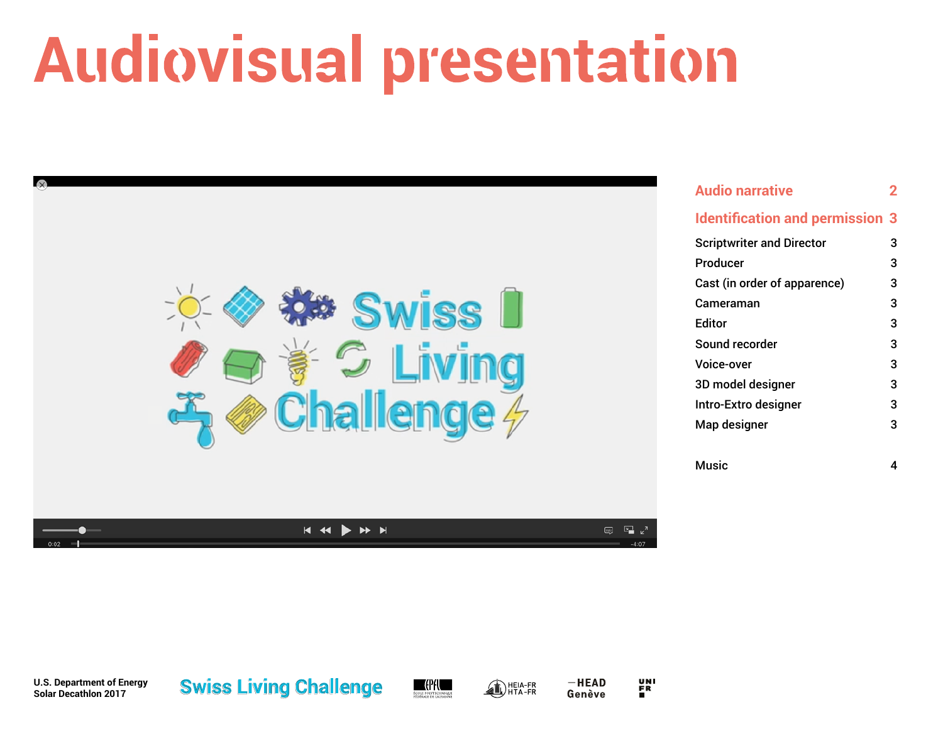# **Audiovisual presentation**



| <b>Audio narrative</b>                 |   |
|----------------------------------------|---|
| <b>Identification and permission 3</b> |   |
| <b>Scriptwriter and Director</b>       | 3 |
| Producer                               | 3 |
| Cast (in order of apparence)           | 3 |
| Cameraman                              | 3 |
| <b>Editor</b>                          | 3 |
| Sound recorder                         | 3 |
| Voice-over                             | 3 |
| 3D model designer                      | 3 |
| Intro-Extro designer                   | 3 |
| Map designer                           | 3 |
|                                        |   |
| Music                                  | 4 |

**U.S. Department of Energy Solar Decathlon 2017**





 $-HEAD$ Genève UNI<br>Fr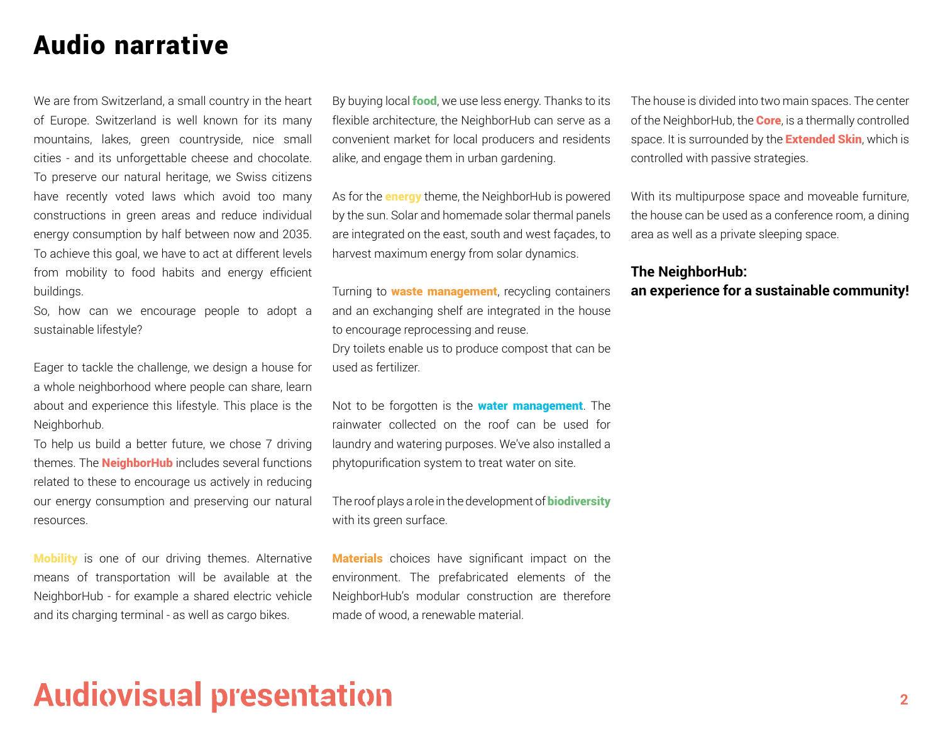### Audio narrative

We are from Switzerland, a small country in the heart of Europe. Switzerland is well known for its many mountains, lakes, green countryside, nice small cities - and its unforgettable cheese and chocolate. To preserve our natural heritage, we Swiss citizens have recently voted laws which avoid too many constructions in green areas and reduce individual energy consumption by half between now and 2035. To achieve this goal, we have to act at different levels from mobility to food habits and energy efficient buildings.

So, how can we encourage people to adopt a sustainable lifestyle?

Eager to tackle the challenge, we design a house for a whole neighborhood where people can share, learn about and experience this lifestyle. This place is the Neighborhub.

To help us build a better future, we chose 7 driving themes. The **NeighborHub** includes several functions related to these to encourage us actively in reducing our energy consumption and preserving our natural resources.

Mobility is one of our driving themes. Alternative means of transportation will be available at the NeighborHub - for example a shared electric vehicle and its charging terminal - as well as cargo bikes.

By buying local **food**, we use less energy. Thanks to its flexible architecture, the NeighborHub can serve as a convenient market for local producers and residents alike, and engage them in urban gardening.

As for the **energy** theme, the NeighborHub is powered by the sun. Solar and homemade solar thermal panels are integrated on the east, south and west façades, to harvest maximum energy from solar dynamics.

Turning to **waste management**, recycling containers and an exchanging shelf are integrated in the house to encourage reprocessing and reuse. Dry toilets enable us to produce compost that can be used as fertilizer.

Not to be forgotten is the **water management**. The rainwater collected on the roof can be used for laundry and watering purposes. We've also installed a phytopurification system to treat water on site.

The roof plays a role in the development of **biodiversity** with its green surface.

**Materials** choices have significant impact on the environment. The prefabricated elements of the NeighborHub's modular construction are therefore made of wood, a renewable material.

The house is divided into two main spaces. The center of the NeighborHub, the **Core**, is a thermally controlled space. It is surrounded by the **Extended Skin**, which is controlled with passive strategies.

With its multipurpose space and moveable furniture, the house can be used as a conference room, a dining area as well as a private sleeping space.

#### **The NeighborHub: an experience for a sustainable community!**

# **Audiovisual presentation**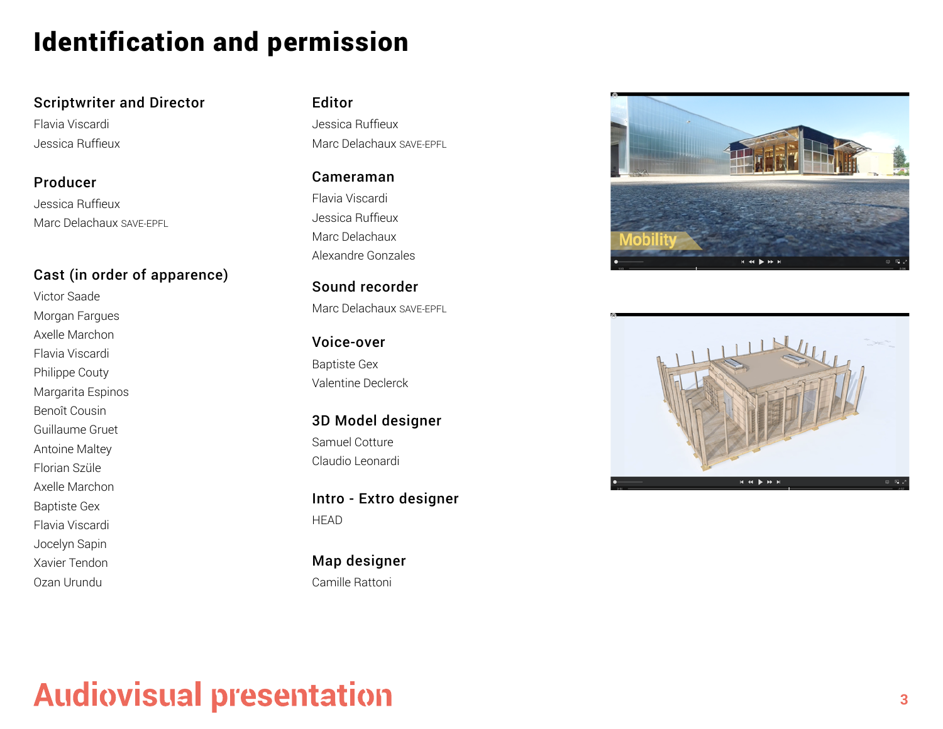### Identification and permission

#### Scriptwriter and Director

Flavia Viscardi Jessica Ruffieux

Jessica Ruffieux Marc Delachaux SAVE-EPFL Producer

#### Cast (in order of apparence)

Victor Saade Morgan Fargues Axelle Marchon Flavia Viscardi Philippe Couty Margarita Espinos Benoît Cousin Guillaume Gruet Antoine Maltey Florian Szüle Axelle Marchon Baptiste Gex Flavia Viscardi Jocelyn Sapin Xavier Tendon Ozan Urundu

#### Editor

Jessica Ruffieux Marc Delachaux SAVE-EPFL

Flavia Viscardi Jessica Ruffieux Marc Delachaux Alexandre Gonzales Cameraman

Marc Delachaux SAVE-EPFL Sound recorder

Baptiste Gex Valentine Declerck Voice-over

Samuel Cotture Claudio Leonardi 3D Model designer

**HEAD** Intro - Extro designer

Camille Rattoni Map designer





# **Audiovisual presentation**